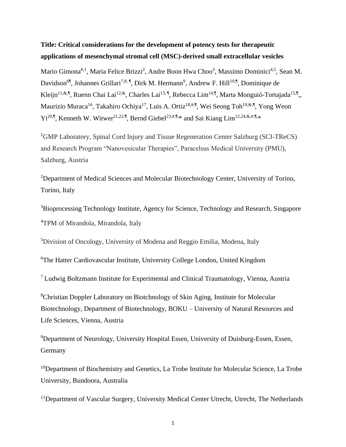## **Title: Critical considerations for the development of potency tests for therapeutic applications of mesenchymal stromal cell (MSC)-derived small extracellular vesicles**

Mario Gimona<sup>#,1</sup>, Maria Felice Brizzi<sup>2</sup>, Andre Boon Hwa Choo<sup>3</sup>, Massimo Dominici<sup>4,5</sup>, Sean M. Davidson<sup>6¶</sup>, Johannes Grillari<sup>7,8, ¶</sup>, Dirk M. Hermann<sup>9</sup>, Andrew F. Hill<sup>10,¶</sup>, Dominique de Kleijn<sup>11,&,¶</sup>, Ruenn Chai Lai<sup>12,&</sup>, Charles Lai<sup>13,¶</sup>, Rebecca Lim<sup>14,¶</sup>, Marta Monguió-Tortajada<sup>15,¶</sup>,, Maurizio Muraca<sup>16</sup>, Takahiro Ochiya<sup>17</sup>, Luis A. Ortiz<sup>18,#,¶</sup>, Wei Seong Toh<sup>19,&,¶</sup>, Yong Weon  $Yi^{20,\P}$ , Kenneth W. Witwer<sup>21,22,¶</sup>, Bernd Giebel<sup>23,#,¶,\*</sup> and Sai Kiang Lim<sup>12,24,&,#,¶,\*</sup>

<sup>1</sup>GMP Laboratory, Spinal Cord Injury and Tissue Regeneration Center Salzburg (SCI-TReCS) and Research Program "Nanovesicular Therapies", Paracelsus Medical University (PMU), Salzburg, Austria

<sup>2</sup>Department of Medical Sciences and Molecular Biotechnology Center, University of Torino, Torino, Italy

<sup>3</sup>Bioprocessing Technology Institute, Agency for Science, Technology and Research, Singapore <sup>4</sup>TPM of Mirandola, Mirandola, Italy

<sup>5</sup>Division of Oncology, University of Modena and Reggio Emilia, Modena, Italy

<sup>6</sup>The Hatter Cardiovascular Institute, University College London, United Kingdom

 $<sup>7</sup>$  Ludwig Boltzmann Institute for Experimental and Clinical Traumatology, Vienna, Austria</sup>

<sup>8</sup>Christian Doppler Laboratory on Biotchnology of Skin Aging, Institute for Molecular Biotechnology, Department of Biotechnology, BOKU – University of Natural Resources and Life Sciences, Vienna, Austria

<sup>9</sup>Department of Neurology, University Hospital Essen, University of Duisburg-Essen, Essen, Germany

<sup>10</sup>Department of Biochemistry and Genetics, La Trobe Institute for Molecular Science, La Trobe University, Bundoora, Australia

<sup>11</sup>Department of Vascular Surgery, University Medical Center Utrecht, Utrecht, The Netherlands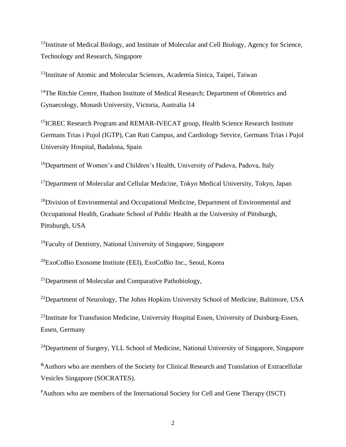<sup>12</sup>Institute of Medical Biology, and Institute of Molecular and Cell Biology, Agency for Science, Technology and Research, Singapore

<sup>13</sup>Institute of Atomic and Molecular Sciences, Academia Sinica, Taipei, Taiwan

<sup>14</sup>The Ritchie Centre, Hudson Institute of Medical Research; Department of Obstetrics and Gynaecology, Monash University, Victoria, Australia 14

<sup>15</sup> ICREC Research Program and REMAR-IVECAT group, Health Science Research Institute Germans Trias i Pujol (IGTP), Can Ruti Campus, and Cardiology Service, Germans Trias i Pujol University Hospital, Badalona, Spain

<sup>16</sup>Department of Women's and Children's Health, University of Padova, Padova, Italy

<sup>17</sup>Department of Molecular and Cellular Medicine, Tokyo Medical University, Tokyo, Japan

<sup>18</sup>Division of Environmental and Occupational Medicine, Department of Environmental and Occupational Health, Graduate School of Public Health at the University of Pittsburgh, Pittsburgh, USA

<sup>19</sup>Faculty of Dentistry, National University of Singapore, Singapore

<sup>20</sup>ExoCoBio Exosome Institute (EEI), ExoCoBio Inc., Seoul, Korea

 $21$ Department of Molecular and Comparative Pathobiology,

<sup>22</sup>Department of Neurology, The Johns Hopkins University School of Medicine, Baltimore, USA

<sup>23</sup>Institute for Transfusion Medicine, University Hospital Essen, University of Duisburg-Essen, Essen, Germany

<sup>24</sup>Department of Surgery, YLL School of Medicine, National University of Singapore, Singapore

&Authors who are members of the Society for Clinical Research and Translation of Extracellular Vesicles Singapore (SOCRATES).

#Authors who are members of the International Society for Cell and Gene Therapy (ISCT)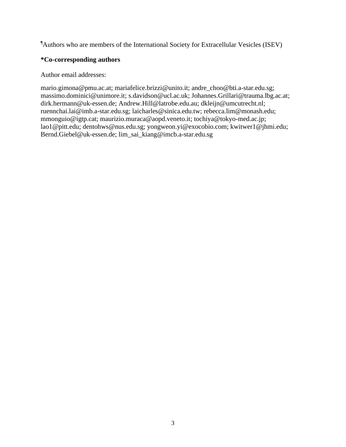¶Authors who are members of the International Society for Extracellular Vesicles (ISEV)

## **\*Co-corresponding authors**

Author email addresses:

mario.gimona@pmu.ac.at; mariafelice.brizzi@unito.it; andre\_choo@bti.a-star.edu.sg; [massimo.dominici@unimore.it;](mailto:massimo.dominici@unimore.it) s.davidson@ucl.ac.uk; Johannes.Grillari@trauma.lbg.ac.at; dirk.hermann@uk-essen.de; Andrew.Hill@latrobe.edu.au; dkleijn@umcutrecht.nl; ruennchai.lai@imb.a-star.edu.sg; [laicharles@sinica.edu.tw;](mailto:laicharles@sinica.edu.tw) rebecca.lim@monash.edu; mmonguio@igtp.cat; maurizio.muraca@aopd.veneto.it; tochiya@tokyo-med.ac.jp; lao1@pitt.edu; [dentohws@nus.edu.sg;](mailto:dentohws@nus.edu.sg) yongweon.yi@exocobio.com; kwitwer1@jhmi.edu; Bernd.Giebel@uk-essen.de; lim\_sai\_kiang@imcb.a-star.edu.sg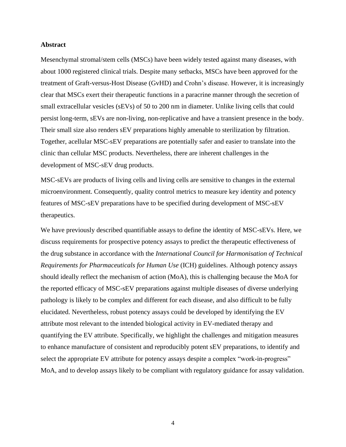### **Abstract**

Mesenchymal stromal/stem cells (MSCs) have been widely tested against many diseases, with about 1000 registered clinical trials. Despite many setbacks, MSCs have been approved for the treatment of Graft-versus-Host Disease (GvHD) and Crohn's disease. However, it is increasingly clear that MSCs exert their therapeutic functions in a paracrine manner through the secretion of small extracellular vesicles (sEVs) of 50 to 200 nm in diameter. Unlike living cells that could persist long-term, sEVs are non-living, non-replicative and have a transient presence in the body. Their small size also renders sEV preparations highly amenable to sterilization by filtration. Together, acellular MSC-sEV preparations are potentially safer and easier to translate into the clinic than cellular MSC products. Nevertheless, there are inherent challenges in the development of MSC-sEV drug products.

MSC-sEVs are products of living cells and living cells are sensitive to changes in the external microenvironment. Consequently, quality control metrics to measure key identity and potency features of MSC-sEV preparations have to be specified during development of MSC-sEV therapeutics.

We have previously described quantifiable assays to define the identity of MSC-sEVs. Here, we discuss requirements for prospective potency assays to predict the therapeutic effectiveness of the drug substance in accordance with the *International Council for Harmonisation of Technical Requirements for Pharmaceuticals for Human Use* (ICH) guidelines. Although potency assays should ideally reflect the mechanism of action (MoA), this is challenging because the MoA for the reported efficacy of MSC-sEV preparations against multiple diseases of diverse underlying pathology is likely to be complex and different for each disease, and also difficult to be fully elucidated. Nevertheless, robust potency assays could be developed by identifying the EV attribute most relevant to the intended biological activity in EV-mediated therapy and quantifying the EV attribute. Specifically, we highlight the challenges and mitigation measures to enhance manufacture of consistent and reproducibly potent sEV preparations, to identify and select the appropriate EV attribute for potency assays despite a complex "work-in-progress" MoA, and to develop assays likely to be compliant with regulatory guidance for assay validation.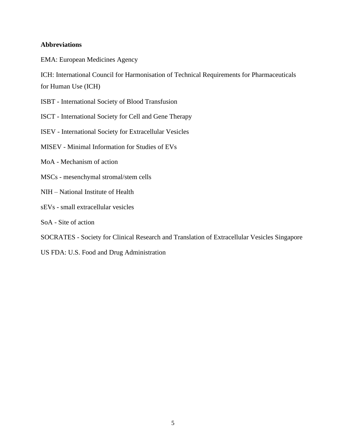### **Abbreviations**

EMA: European Medicines Agency

ICH: International Council for Harmonisation of Technical Requirements for Pharmaceuticals for Human Use (ICH)

ISBT - International Society of Blood Transfusion

ISCT - International Society for Cell and Gene Therapy

ISEV - International Society for Extracellular Vesicles

MISEV - Minimal Information for Studies of EVs

MoA - Mechanism of action

- MSCs mesenchymal stromal/stem cells
- NIH National Institute of Health
- sEVs small extracellular vesicles
- SoA Site of action

SOCRATES - Society for Clinical Research and Translation of Extracellular Vesicles Singapore

US FDA: U.S. Food and Drug Administration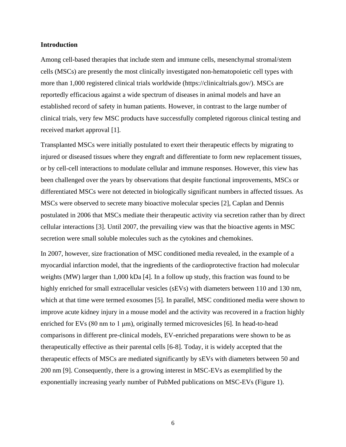### **Introduction**

Among cell-based therapies that include stem and immune cells, mesenchymal stromal/stem cells (MSCs) are presently the most clinically investigated non-hematopoietic cell types with more than 1,000 registered clinical trials worldwide (https://clinicaltrials.gov/). MSCs are reportedly efficacious against a wide spectrum of diseases in animal models and have an established record of safety in human patients. However, in contrast to the large number of clinical trials, very few MSC products have successfully completed rigorous clinical testing and received market approval [\[1\]](#page-20-0).

Transplanted MSCs were initially postulated to exert their therapeutic effects by migrating to injured or diseased tissues where they engraft and differentiate to form new replacement tissues, or by cell-cell interactions to modulate cellular and immune responses. However, this view has been challenged over the years by observations that despite functional improvements, MSCs or differentiated MSCs were not detected in biologically significant numbers in affected tissues. As MSCs were observed to secrete many bioactive molecular species [\[2\]](#page-20-1), Caplan and Dennis postulated in 2006 that MSCs mediate their therapeutic activity via secretion rather than by direct cellular interactions [\[3\]](#page-20-2). Until 2007, the prevailing view was that the bioactive agents in MSC secretion were small soluble molecules such as the cytokines and chemokines.

In 2007, however, size fractionation of MSC conditioned media revealed, in the example of a myocardial infarction model, that the ingredients of the cardioprotective fraction had molecular weights (MW) larger than 1,000 kDa [\[4\]](#page-20-3). In a follow up study, this fraction was found to be highly enriched for small extracellular vesicles (sEVs) with diameters between 110 and 130 nm, which at that time were termed exosomes [\[5\]](#page-20-4). In parallel, MSC conditioned media were shown to improve acute kidney injury in a mouse model and the activity was recovered in a fraction highly enriched for EVs (80 nm to 1  $\mu$ m), originally termed microvesicles [\[6\]](#page-20-5). In head-to-head comparisons in different pre-clinical models, EV-enriched preparations were shown to be as therapeutically effective as their parental cells [\[6-8\]](#page-20-5). Today, it is widely accepted that the therapeutic effects of MSCs are mediated significantly by sEVs with diameters between 50 and 200 nm [\[9\]](#page-20-6). Consequently, there is a growing interest in MSC-EVs as exemplified by the exponentially increasing yearly number of PubMed publications on MSC-EVs (Figure 1).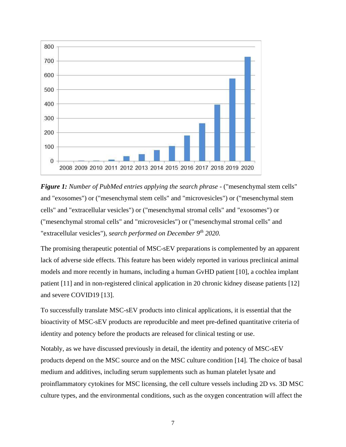

*Figure 1: Number of PubMed entries applying the search phrase -* ("mesenchymal stem cells" and "exosomes") or ("mesenchymal stem cells" and "microvesicles") or ("mesenchymal stem cells" and "extracellular vesicles") or ("mesenchymal stromal cells" and "exosomes") or ("mesenchymal stromal cells" and "microvesicles") or ("mesenchymal stromal cells" and "extracellular vesicles"), *search performed on December 9th 2020.*

The promising therapeutic potential of MSC-sEV preparations is complemented by an apparent lack of adverse side effects. This feature has been widely reported in various preclinical animal models and more recently in humans, including a human GvHD patient [\[10\]](#page-20-7), a cochlea implant patient [\[11\]](#page-20-8) and in non-registered clinical application in 20 chronic kidney disease patients [\[12\]](#page-20-9) and severe COVID19 [\[13\]](#page-21-0).

To successfully translate MSC-sEV products into clinical applications, it is essential that the bioactivity of MSC-sEV products are reproducible and meet pre-defined quantitative criteria of identity and potency before the products are released for clinical testing or use.

Notably, as we have discussed previously in detail, the identity and potency of MSC-sEV products depend on the MSC source and on the MSC culture condition [\[14\]](#page-21-1). The choice of basal medium and additives, including serum supplements such as human platelet lysate and proinflammatory cytokines for MSC licensing, the cell culture vessels including 2D vs. 3D MSC culture types, and the environmental conditions, such as the oxygen concentration will affect the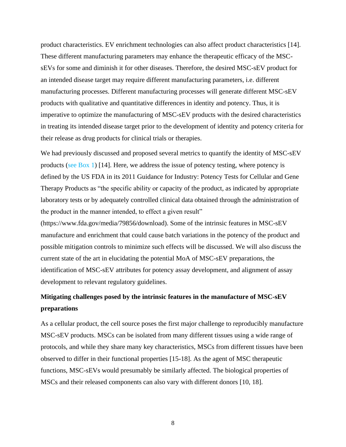product characteristics. EV enrichment technologies can also affect product characteristics [\[14\]](#page-21-1). These different manufacturing parameters may enhance the therapeutic efficacy of the MSCsEVs for some and diminish it for other diseases. Therefore, the desired MSC-sEV product for an intended disease target may require different manufacturing parameters, i.e. different manufacturing processes. Different manufacturing processes will generate different MSC-sEV products with qualitative and quantitative differences in identity and potency. Thus, it is imperative to optimize the manufacturing of MSC-sEV products with the desired characteristics in treating its intended disease target prior to the development of identity and potency criteria for their release as drug products for clinical trials or therapies.

We had previously discussed and proposed several metrics to quantify the identity of MSC-sEV products (see Box 1) [\[14\]](#page-21-1). Here, we address the issue of potency testing, where potency is defined by the US FDA in its 2011 Guidance for Industry: Potency Tests for Cellular and Gene Therapy Products as "the specific ability or capacity of the product, as indicated by appropriate laboratory tests or by adequately controlled clinical data obtained through the administration of the product in the manner intended, to effect a given result"

[\(https://www.fda.gov/media/79856/download\)](https://www.fda.gov/media/79856/download). Some of the intrinsic features in MSC-sEV manufacture and enrichment that could cause batch variations in the potency of the product and possible mitigation controls to minimize such effects will be discussed. We will also discuss the current state of the art in elucidating the potential MoA of MSC-sEV preparations, the identification of MSC-sEV attributes for potency assay development, and alignment of assay development to relevant regulatory guidelines.

## **Mitigating challenges posed by the intrinsic features in the manufacture of MSC-sEV preparations**

As a cellular product, the cell source poses the first major challenge to reproducibly manufacture MSC-sEV products. MSCs can be isolated from many different tissues using a wide range of protocols, and while they share many key characteristics, MSCs from different tissues have been observed to differ in their functional properties [\[15-18\]](#page-21-2). As the agent of MSC therapeutic functions, MSC-sEVs would presumably be similarly affected. The biological properties of MSCs and their released components can also vary with different donors [\[10,](#page-20-7) [18\]](#page-21-3).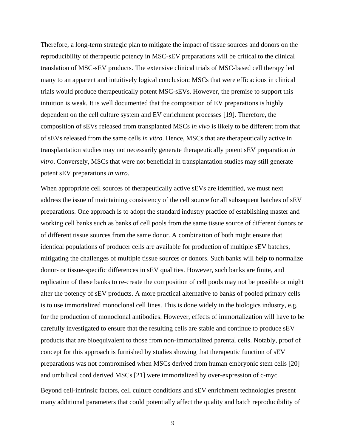Therefore, a long-term strategic plan to mitigate the impact of tissue sources and donors on the reproducibility of therapeutic potency in MSC-sEV preparations will be critical to the clinical translation of MSC-sEV products. The extensive clinical trials of MSC-based cell therapy led many to an apparent and intuitively logical conclusion: MSCs that were efficacious in clinical trials would produce therapeutically potent MSC-sEVs. However, the premise to support this intuition is weak. It is well documented that the composition of EV preparations is highly dependent on the cell culture system and EV enrichment processes [\[19\]](#page-21-4). Therefore, the composition of sEVs released from transplanted MSCs *in vivo* is likely to be different from that of sEVs released from the same cells *in vitro*. Hence, MSCs that are therapeutically active in transplantation studies may not necessarily generate therapeutically potent sEV preparation *in vitro*. Conversely, MSCs that were not beneficial in transplantation studies may still generate potent sEV preparations *in vitro*.

When appropriate cell sources of therapeutically active sEVs are identified, we must next address the issue of maintaining consistency of the cell source for all subsequent batches of sEV preparations. One approach is to adopt the standard industry practice of establishing master and working cell banks such as banks of cell pools from the same tissue source of different donors or of different tissue sources from the same donor. A combination of both might ensure that identical populations of producer cells are available for production of multiple sEV batches, mitigating the challenges of multiple tissue sources or donors. Such banks will help to normalize donor- or tissue-specific differences in sEV qualities. However, such banks are finite, and replication of these banks to re-create the composition of cell pools may not be possible or might alter the potency of sEV products. A more practical alternative to banks of pooled primary cells is to use immortalized monoclonal cell lines. This is done widely in the biologics industry, e.g. for the production of monoclonal antibodies. However, effects of immortalization will have to be carefully investigated to ensure that the resulting cells are stable and continue to produce sEV products that are bioequivalent to those from non-immortalized parental cells. Notably, proof of concept for this approach is furnished by studies showing that therapeutic function of sEV preparations was not compromised when MSCs derived from human embryonic stem cells [\[20\]](#page-22-0) and umbilical cord derived MSCs [\[21\]](#page-22-1) were immortalized by over-expression of c-myc. Beyond cell-intrinsic factors, cell culture conditions and sEV enrichment technologies present

9

many additional parameters that could potentially affect the quality and batch reproducibility of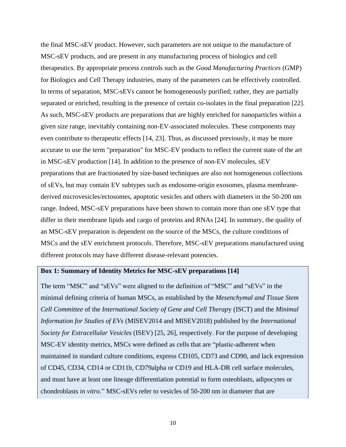the final MSC-sEV product. However, such parameters are not unique to the manufacture of MSC-sEV products, and are present in any manufacturing process of biologics and cell therapeutics. By appropriate process controls such as the *Good Manufacturing Practices* (GMP) for Biologics and Cell Therapy industries, many of the parameters can be effectively controlled. In terms of separation, MSC-sEVs cannot be homogeneously purified; rather, they are partially separated or enriched, resulting in the presence of certain co-isolates in the final preparation [\[22\]](#page-22-2). As such, MSC-sEV products are preparations that are highly enriched for nanoparticles within a given size range, inevitably containing non-EV-associated molecules. These components may even contribute to therapeutic effects [\[14,](#page-21-1) [23\]](#page-22-3). Thus, as discussed previously, it may be more accurate to use the term "preparation" for MSC-EV products to reflect the current state of the art in MSC-sEV production [\[14\]](#page-21-1). In addition to the presence of non-EV molecules, sEV preparations that are fractionated by size-based techniques are also not homogeneous collections of sEVs, but may contain EV subtypes such as endosome-origin exosomes, plasma membranederived microvesicles/ectosomes, apoptotic vesicles and others with diameters in the 50-200 nm range. Indeed, MSC-sEV preparations have been shown to contain more than one sEV type that differ in their membrane lipids and cargo of proteins and RNAs [\[24\]](#page-22-4). In summary, the quality of an MSC-sEV preparation is dependent on the source of the MSCs, the culture conditions of MSCs and the sEV enrichment protocols. Therefore, MSC-sEV preparations manufactured using different protocols may have different disease-relevant potencies.

### **Box 1: Summary of Identity Metrics for MSC-sEV preparations [\[14\]](#page-21-1)**

The term "MSC" and "sEVs" were aligned to the definition of "MSC" and "sEVs" in the minimal defining criteria of human MSCs, as established by the *Mesenchymal and Tissue Stem Cell Committee* of the *International Society of Gene and Cell Therap*y (ISCT) and the *Minimal Information for Studies of EVs* (MISEV2014 and MISEV2018) published by the *International Society for Extracellular Vesicles* (ISEV) [\[25,](#page-22-5) [26\]](#page-22-6), respectively. For the purpose of developing MSC-EV identity metrics, MSCs were defined as cells that are "plastic-adherent when maintained in standard culture conditions, express CD105, CD73 and CD90, and lack expression of CD45, CD34, CD14 or CD11b, CD79alpha or CD19 and HLA-DR cell surface molecules, and must have at least one lineage differentiation potential to form osteoblasts, adipocytes or chondroblasts *in vitro*." MSC-sEVs refer to vesicles of 50-200 nm in diameter that are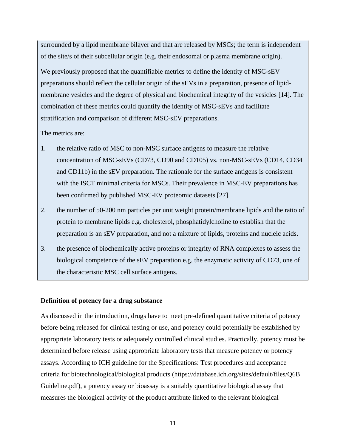surrounded by a lipid membrane bilayer and that are released by MSCs; the term is independent of the site/s of their subcellular origin (e.g. their endosomal or plasma membrane origin).

We previously proposed that the quantifiable metrics to define the identity of MSC-sEV preparations should reflect the cellular origin of the sEVs in a preparation, presence of lipidmembrane vesicles and the degree of physical and biochemical integrity of the vesicles [\[14\]](#page-21-1). The combination of these metrics could quantify the identity of MSC-sEVs and facilitate stratification and comparison of different MSC-sEV preparations.

The metrics are:

- 1. the relative ratio of MSC to non-MSC surface antigens to measure the relative concentration of MSC-sEVs (CD73, CD90 and CD105) vs. non-MSC-sEVs (CD14, CD34 and CD11b) in the sEV preparation. The rationale for the surface antigens is consistent with the ISCT minimal criteria for MSCs. Their prevalence in MSC-EV preparations has been confirmed by published MSC-EV proteomic datasets [\[27\]](#page-24-0).
- 2. the number of 50-200 nm particles per unit weight protein/membrane lipids and the ratio of protein to membrane lipids e.g. cholesterol, phosphatidylcholine to establish that the preparation is an sEV preparation, and not a mixture of lipids, proteins and nucleic acids.
- 3. the presence of biochemically active proteins or integrity of RNA complexes to assess the biological competence of the sEV preparation e.g. the enzymatic activity of CD73, one of the characteristic MSC cell surface antigens.

### **Definition of potency for a drug substance**

As discussed in the introduction, drugs have to meet pre-defined quantitative criteria of potency before being released for clinical testing or use, and potency could potentially be established by appropriate laboratory tests or adequately controlled clinical studies. Practically, potency must be determined before release using appropriate laboratory tests that measure potency or potency assays. According to ICH guideline for the Specifications: Test procedures and acceptance criteria for biotechnological/biological products (https://database.ich.org/sites/default/files/Q6B Guideline.pdf), a potency assay or bioassay is a suitably quantitative biological assay that measures the biological activity of the product attribute linked to the relevant biological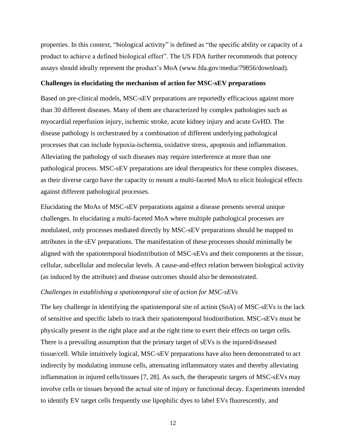properties. In this context, "biological activity" is defined as "the specific ability or capacity of a product to achieve a defined biological effect". The US FDA further recommends that potency assays should ideally represent the product's MoA (www.fda.gov/media/79856/download).

### **Challenges in elucidating the mechanism of action for MSC-sEV preparations**

Based on pre-clinical models, MSC-sEV preparations are reportedly efficacious against more than 30 different diseases. Many of them are characterized by complex pathologies such as myocardial reperfusion injury, ischemic stroke, acute kidney injury and acute GvHD. The disease pathology is orchestrated by a combination of different underlying pathological processes that can include hypoxia-ischemia, oxidative stress, apoptosis and inflammation. Alleviating the pathology of such diseases may require interference at more than one pathological process. MSC-sEV preparations are ideal therapeutics for these complex diseases, as their diverse cargo have the capacity to mount a multi-faceted MoA to elicit biological effects against different pathological processes.

Elucidating the MoAs of MSC-sEV preparations against a disease presents several unique challenges. In elucidating a multi-faceted MoA where multiple pathological processes are modulated, only processes mediated directly by MSC-sEV preparations should be mapped to attributes in the sEV preparations. The manifestation of these processes should minimally be aligned with the spatiotemporal biodistribution of MSC-sEVs and their components at the tissue, cellular, subcellular and molecular levels. A cause-and-effect relation between biological activity (as induced by the attribute) and disease outcomes should also be demonstrated.

### *Challenges in establishing a spatiotemporal site of action for MSC-sEVs*

The key challenge in identifying the spatiotemporal site of action (SoA) of MSC-sEVs is the lack of sensitive and specific labels to track their spatiotemporal biodistribution. MSC-sEVs must be physically present in the right place and at the right time to exert their effects on target cells. There is a prevailing assumption that the primary target of sEVs is the injured/diseased tissue/cell. While intuitively logical, MSC-sEV preparations have also been demonstrated to act indirectly by modulating immune cells, attenuating inflammatory states and thereby alleviating inflammation in injured cells/tissues [\[7,](#page-20-10) [28\]](#page-24-1). As such, the therapeutic targets of MSC-sEVs may involve cells or tissues beyond the actual site of injury or functional decay. Experiments intended to identify EV target cells frequently use lipophilic dyes to label EVs fluorescently, and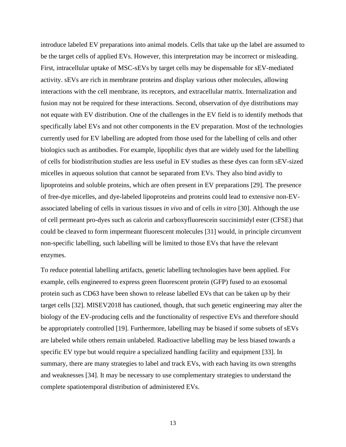introduce labeled EV preparations into animal models. Cells that take up the label are assumed to be the target cells of applied EVs. However, this interpretation may be incorrect or misleading. First, intracellular uptake of MSC-sEVs by target cells may be dispensable for sEV-mediated activity. sEVs are rich in membrane proteins and display various other molecules, allowing interactions with the cell membrane, its receptors, and extracellular matrix. Internalization and fusion may not be required for these interactions. Second, observation of dye distributions may not equate with EV distribution. One of the challenges in the EV field is to identify methods that specifically label EVs and not other components in the EV preparation. Most of the technologies currently used for EV labelling are adopted from those used for the labelling of cells and other biologics such as antibodies. For example, lipophilic dyes that are widely used for the labelling of cells for biodistribution studies are less useful in EV studies as these dyes can form sEV-sized micelles in aqueous solution that cannot be separated from EVs. They also bind avidly to lipoproteins and soluble proteins, which are often present in EV preparations [\[29\]](#page-24-2). The presence of free-dye micelles, and dye-labeled lipoproteins and proteins could lead to extensive non-EVassociated labeling of cells in various tissues *in vivo* and of cells *in vitro* [\[30\]](#page-24-3). Although the use of cell permeant pro-dyes such as calcein and carboxyfluorescein succinimidyl ester (CFSE) that could be cleaved to form impermeant fluorescent molecules [\[31\]](#page-24-4) would, in principle circumvent non-specific labelling, such labelling will be limited to those EVs that have the relevant enzymes.

To reduce potential labelling artifacts, genetic labelling technologies have been applied. For example, cells engineered to express green fluorescent protein (GFP) fused to an exosomal protein such as CD63 have been shown to release labelled EVs that can be taken up by their target cells [\[32\]](#page-24-5). MISEV2018 has cautioned, though, that such genetic engineering may alter the biology of the EV-producing cells and the functionality of respective EVs and therefore should be appropriately controlled [\[19\]](#page-21-4). Furthermore, labelling may be biased if some subsets of sEVs are labeled while others remain unlabeled. Radioactive labelling may be less biased towards a specific EV type but would require a specialized handling facility and equipment [\[33\]](#page-24-6). In summary, there are many strategies to label and track EVs, with each having its own strengths and weaknesses [\[34\]](#page-24-7). It may be necessary to use complementary strategies to understand the complete spatiotemporal distribution of administered EVs.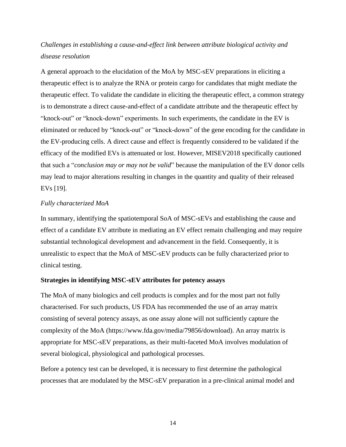# *Challenges in establishing a cause-and-effect link between attribute biological activity and disease resolution*

A general approach to the elucidation of the MoA by MSC-sEV preparations in eliciting a therapeutic effect is to analyze the RNA or protein cargo for candidates that might mediate the therapeutic effect. To validate the candidate in eliciting the therapeutic effect, a common strategy is to demonstrate a direct cause-and-effect of a candidate attribute and the therapeutic effect by "knock-out" or "knock-down" experiments. In such experiments, the candidate in the EV is eliminated or reduced by "knock-out" or "knock-down" of the gene encoding for the candidate in the EV-producing cells. A direct cause and effect is frequently considered to be validated if the efficacy of the modified EVs is attenuated or lost. However, MISEV2018 specifically cautioned that such a "*conclusion may or may not be valid*" because the manipulation of the EV donor cells may lead to major alterations resulting in changes in the quantity and quality of their released EVs [\[19\]](#page-21-4).

## *Fully characterized MoA*

In summary, identifying the spatiotemporal SoA of MSC-sEVs and establishing the cause and effect of a candidate EV attribute in mediating an EV effect remain challenging and may require substantial technological development and advancement in the field. Consequently, it is unrealistic to expect that the MoA of MSC-sEV products can be fully characterized prior to clinical testing.

## **Strategies in identifying MSC-sEV attributes for potency assays**

The MoA of many biologics and cell products is complex and for the most part not fully characterised. For such products, US FDA has recommended the use of an array matrix consisting of several potency assays, as one assay alone will not sufficiently capture the complexity of the MoA (https://www.fda.gov/media/79856/download). An array matrix is appropriate for MSC-sEV preparations, as their multi-faceted MoA involves modulation of several biological, physiological and pathological processes.

Before a potency test can be developed, it is necessary to first determine the pathological processes that are modulated by the MSC-sEV preparation in a pre-clinical animal model and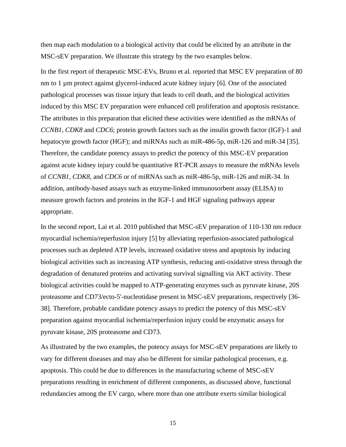then map each modulation to a biological activity that could be elicited by an attribute in the MSC-sEV preparation. We illustrate this strategy by the two examples below.

In the first report of therapeutic MSC-EVs, Bruno et al. reported that MSC EV preparation of 80 nm to 1 µm protect against glycerol-induced acute kidney injury [\[6\]](#page-20-5). One of the associated pathological processes was tissue injury that leads to cell death, and the biological activities induced by this MSC EV preparation were enhanced cell proliferation and apoptosis resistance. The attributes in this preparation that elicited these activities were identified as the mRNAs of *CCNB1*, *CDK8* and *CDC6*; protein growth factors such as the insulin growth factor (IGF)-1 and hepatocyte growth factor (HGF); and miRNAs such as miR-486-5p, miR-126 and miR-34 [\[35\]](#page-24-8). Therefore, the candidate potency assays to predict the potency of this MSC-EV preparation against acute kidney injury could be quantitative RT-PCR assays to measure the mRNAs levels of *CCNB1*, *CDK8*, and *CDC6* or of miRNAs such as miR-486-5p, miR-126 and miR-34. In addition, antibody-based assays such as enzyme-linked immunosorbent assay (ELISA) to measure growth factors and proteins in the IGF-1 and HGF signaling pathways appear appropriate.

In the second report, Lai et al. 2010 published that MSC-sEV preparation of 110-130 nm reduce myocardial ischemia/reperfusion injury [\[5\]](#page-20-4) by alleviating reperfusion-associated pathological processes such as depleted ATP levels, increased oxidative stress and apoptosis by inducing biological activities such as increasing ATP synthesis, reducing anti-oxidative stress through the degradation of denatured proteins and activating survival signalling via AKT activity. These biological activities could be mapped to ATP-generating enzymes such as pyruvate kinase, 20S proteasome and CD73/ecto-5'-nucleotidase present in MSC-sEV preparations, respectively [\[36-](#page-24-9) [38\]](#page-24-9). Therefore, probable candidate potency assays to predict the potency of this MSC-sEV preparation against myocardial ischemia/reperfusion injury could be enzymatic assays for pyruvate kinase, 20S proteasome and CD73.

As illustrated by the two examples, the potency assays for MSC-sEV preparations are likely to vary for different diseases and may also be different for similar pathological processes, e.g. apoptosis. This could be due to differences in the manufacturing scheme of MSC-sEV preparations resulting in enrichment of different components, as discussed above, functional redundancies among the EV cargo, where more than one attribute exerts similar biological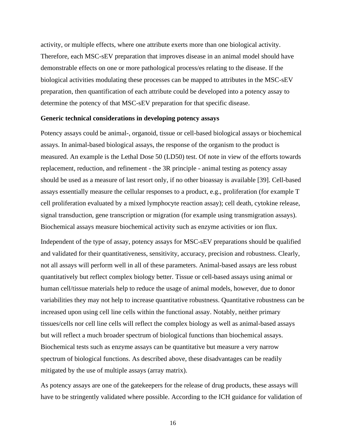activity, or multiple effects, where one attribute exerts more than one biological activity. Therefore, each MSC-sEV preparation that improves disease in an animal model should have demonstrable effects on one or more pathological process/es relating to the disease. If the biological activities modulating these processes can be mapped to attributes in the MSC-sEV preparation, then quantification of each attribute could be developed into a potency assay to determine the potency of that MSC-sEV preparation for that specific disease.

### **Generic technical considerations in developing potency assays**

Potency assays could be animal-, organoid, tissue or cell-based biological assays or biochemical assays. In animal-based biological assays, the response of the organism to the product is measured. An example is the Lethal Dose 50 (LD50) test. Of note in view of the efforts towards replacement, reduction, and refinement - the 3R principle - animal testing as potency assay should be used as a measure of last resort only, if no other bioassay is available [\[39\]](#page-24-10). Cell-based assays essentially measure the cellular responses to a product, e.g., proliferation (for example T cell proliferation evaluated by a mixed lymphocyte reaction assay); cell death, cytokine release, signal transduction, gene transcription or migration (for example using transmigration assays). Biochemical assays measure biochemical activity such as enzyme activities or ion flux.

Independent of the type of assay, potency assays for MSC-sEV preparations should be qualified and validated for their quantitativeness, sensitivity, accuracy, precision and robustness. Clearly, not all assays will perform well in all of these parameters. Animal-based assays are less robust quantitatively but reflect complex biology better. Tissue or cell-based assays using animal or human cell/tissue materials help to reduce the usage of animal models, however, due to donor variabilities they may not help to increase quantitative robustness. Quantitative robustness can be increased upon using cell line cells within the functional assay. Notably, neither primary tissues/cells nor cell line cells will reflect the complex biology as well as animal-based assays but will reflect a much broader spectrum of biological functions than biochemical assays. Biochemical tests such as enzyme assays can be quantitative but measure a very narrow spectrum of biological functions. As described above, these disadvantages can be readily mitigated by the use of multiple assays (array matrix).

As potency assays are one of the gatekeepers for the release of drug products, these assays will have to be stringently validated where possible. According to the ICH guidance for validation of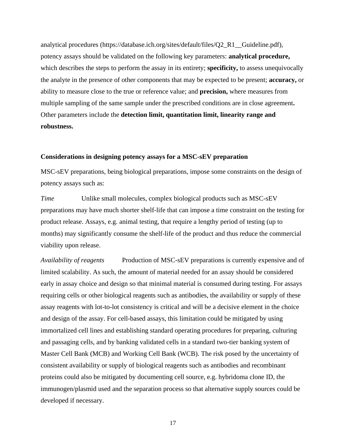analytical procedures (https://database.ich.org/sites/default/files/Q2\_R1\_\_Guideline.pdf), potency assays should be validated on the following key parameters: **analytical procedure,** which describes the steps to perform the assay in its entirety; **specificity,** to assess unequivocally the analyte in the presence of other components that may be expected to be present; **accuracy,** or ability to measure close to the true or reference value; and **precision,** where measures from multiple sampling of the same sample under the prescribed conditions are in close agreement**.** Other parameters include the **detection limit, quantitation limit, linearity range and robustness.**

### **Considerations in designing potency assays for a MSC-sEV preparation**

MSC-sEV preparations, being biological preparations, impose some constraints on the design of potency assays such as:

*Time* Unlike small molecules, complex biological products such as MSC-sEV preparations may have much shorter shelf-life that can impose a time constraint on the testing for product release. Assays, e.g. animal testing, that require a lengthy period of testing (up to months) may significantly consume the shelf-life of the product and thus reduce the commercial viability upon release.

*Availability of reagents* Production of MSC-sEV preparations is currently expensive and of limited scalability. As such, the amount of material needed for an assay should be considered early in assay choice and design so that minimal material is consumed during testing. For assays requiring cells or other biological reagents such as antibodies, the availability or supply of these assay reagents with lot-to-lot consistency is critical and will be a decisive element in the choice and design of the assay. For cell-based assays, this limitation could be mitigated by using immortalized cell lines and establishing standard operating procedures for preparing, culturing and passaging cells, and by banking validated cells in a standard two-tier banking system of Master Cell Bank (MCB) and Working Cell Bank (WCB). The risk posed by the uncertainty of consistent availability or supply of biological reagents such as antibodies and recombinant proteins could also be mitigated by documenting cell source, e.g. hybridoma clone ID, the immunogen/plasmid used and the separation process so that alternative supply sources could be developed if necessary.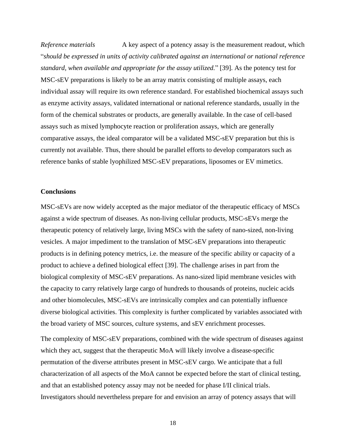*Reference materials* A key aspect of a potency assay is the measurement readout, which "*should be expressed in units of activity calibrated against an international or national reference standard, when available and appropriate for the assay utilized.*" [\[39\]](#page-24-10). As the potency test for MSC-sEV preparations is likely to be an array matrix consisting of multiple assays, each individual assay will require its own reference standard. For established biochemical assays such as enzyme activity assays, validated international or national reference standards, usually in the form of the chemical substrates or products, are generally available. In the case of cell-based assays such as mixed lymphocyte reaction or proliferation assays, which are generally comparative assays, the ideal comparator will be a validated MSC-sEV preparation but this is currently not available. Thus, there should be parallel efforts to develop comparators such as reference banks of stable lyophilized MSC-sEV preparations, liposomes or EV mimetics.

### **Conclusions**

MSC-sEVs are now widely accepted as the major mediator of the therapeutic efficacy of MSCs against a wide spectrum of diseases. As non-living cellular products, MSC-sEVs merge the therapeutic potency of relatively large, living MSCs with the safety of nano-sized, non-living vesicles. A major impediment to the translation of MSC-sEV preparations into therapeutic products is in defining potency metrics, i.e. the measure of the specific ability or capacity of a product to achieve a defined biological effect [\[39\]](#page-24-10). The challenge arises in part from the biological complexity of MSC-sEV preparations. As nano-sized lipid membrane vesicles with the capacity to carry relatively large cargo of hundreds to thousands of proteins, nucleic acids and other biomolecules, MSC-sEVs are intrinsically complex and can potentially influence diverse biological activities. This complexity is further complicated by variables associated with the broad variety of MSC sources, culture systems, and sEV enrichment processes.

The complexity of MSC-sEV preparations, combined with the wide spectrum of diseases against which they act, suggest that the therapeutic MoA will likely involve a disease-specific permutation of the diverse attributes present in MSC-sEV cargo. We anticipate that a full characterization of all aspects of the MoA cannot be expected before the start of clinical testing, and that an established potency assay may not be needed for phase I/II clinical trials. Investigators should nevertheless prepare for and envision an array of potency assays that will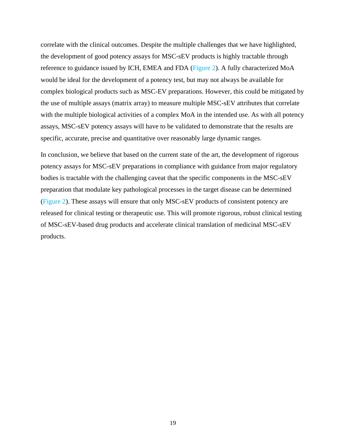correlate with the clinical outcomes. Despite the multiple challenges that we have highlighted, the development of good potency assays for MSC-sEV products is highly tractable through reference to guidance issued by ICH, EMEA and FDA (Figure 2). A fully characterized MoA would be ideal for the development of a potency test, but may not always be available for complex biological products such as MSC-EV preparations. However, this could be mitigated by the use of multiple assays (matrix array) to measure multiple MSC-sEV attributes that correlate with the multiple biological activities of a complex MoA in the intended use. As with all potency assays, MSC-sEV potency assays will have to be validated to demonstrate that the results are specific, accurate, precise and quantitative over reasonably large dynamic ranges.

In conclusion, we believe that based on the current state of the art, the development of rigorous potency assays for MSC-sEV preparations in compliance with guidance from major regulatory bodies is tractable with the challenging caveat that the specific components in the MSC-sEV preparation that modulate key pathological processes in the target disease can be determined (Figure 2). These assays will ensure that only MSC-sEV products of consistent potency are released for clinical testing or therapeutic use. This will promote rigorous, robust clinical testing of MSC-sEV-based drug products and accelerate clinical translation of medicinal MSC-sEV products.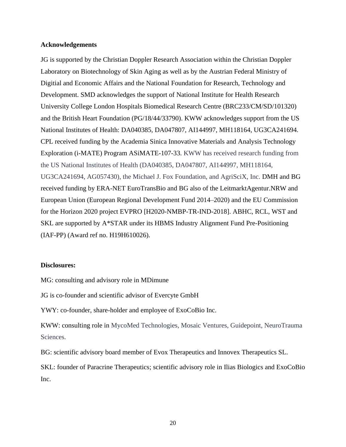#### **Acknowledgements**

JG is supported by the Christian Doppler Research Association within the Christian Doppler Laboratory on Biotechnology of Skin Aging as well as by the Austrian Federal Ministry of Digitial and Economic Affairs and the National Foundation for Research, Technology and Development. SMD acknowledges the support of National Institute for Health Research University College London Hospitals Biomedical Research Centre (BRC233/CM/SD/101320) and the British Heart Foundation (PG/18/44/33790). KWW acknowledges support from the US National Institutes of Health: DA040385, DA047807, AI144997, MH118164, UG3CA241694. CPL received funding by the Academia Sinica Innovative Materials and Analysis Technology Exploration (i-MATE) Program ASiMATE-107-33. KWW has received research funding from the US National Institutes of Health (DA040385, DA047807, AI144997, MH118164, UG3CA241694, AG057430), the Michael J. Fox Foundation, and AgriSciX, Inc. DMH and BG received funding by ERA-NET EuroTransBio and BG also of the LeitmarktAgentur.NRW and European Union (European Regional Development Fund 2014–2020) and the EU Commission for the Horizon 2020 project EVPRO [H2020-NMBP-TR-IND-2018]. ABHC, RCL, WST and SKL are supported by A\*STAR under its HBMS Industry Alignment Fund Pre-Positioning (IAF-PP) (Award ref no. H19H610026).

### **Disclosures:**

MG: consulting and advisory role in MDimune

JG is co-founder and scientific advisor of Evercyte GmbH

YWY: co-founder, share-holder and employee of ExoCoBio Inc.

KWW: consulting role in MycoMed Technologies, Mosaic Ventures, Guidepoint, NeuroTrauma Sciences.

BG: scientific advisory board member of Evox Therapeutics and Innovex Therapeutics SL.

SKL: founder of Paracrine Therapeutics; scientific advisory role in Ilias Biologics and ExoCoBio Inc.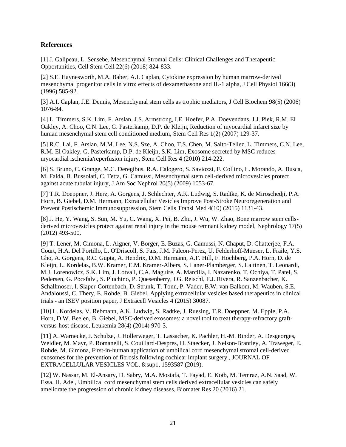## **References**

<span id="page-20-0"></span>[1] J. Galipeau, L. Sensebe, Mesenchymal Stromal Cells: Clinical Challenges and Therapeutic Opportunities, Cell Stem Cell 22(6) (2018) 824-833.

<span id="page-20-1"></span>[2] S.E. Haynesworth, M.A. Baber, A.I. Caplan, Cytokine expression by human marrow-derived mesenchymal progenitor cells in vitro: effects of dexamethasone and IL-1 alpha, J Cell Physiol 166(3) (1996) 585-92.

<span id="page-20-2"></span>[3] A.I. Caplan, J.E. Dennis, Mesenchymal stem cells as trophic mediators, J Cell Biochem 98(5) (2006) 1076-84.

<span id="page-20-3"></span>[4] L. Timmers, S.K. Lim, F. Arslan, J.S. Armstrong, I.E. Hoefer, P.A. Doevendans, J.J. Piek, R.M. El Oakley, A. Choo, C.N. Lee, G. Pasterkamp, D.P. de Kleijn, Reduction of myocardial infarct size by human mesenchymal stem cell conditioned medium, Stem Cell Res 1(2) (2007) 129-37.

<span id="page-20-4"></span>[5] R.C. Lai, F. Arslan, M.M. Lee, N.S. Sze, A. Choo, T.S. Chen, M. Salto-Tellez, L. Timmers, C.N. Lee, R.M. El Oakley, G. Pasterkamp, D.P. de Kleijn, S.K. Lim, Exosome secreted by MSC reduces myocardial ischemia/reperfusion injury, Stem Cell Res **4** (2010) 214-222.

<span id="page-20-5"></span>[6] S. Bruno, C. Grange, M.C. Deregibus, R.A. Calogero, S. Saviozzi, F. Collino, L. Morando, A. Busca, M. Falda, B. Bussolati, C. Tetta, G. Camussi, Mesenchymal stem cell-derived microvesicles protect against acute tubular injury, J Am Soc Nephrol 20(5) (2009) 1053-67.

<span id="page-20-10"></span>[7] T.R. Doeppner, J. Herz, A. Gorgens, J. Schlechter, A.K. Ludwig, S. Radtke, K. de Miroschedji, P.A. Horn, B. Giebel, D.M. Hermann, Extracellular Vesicles Improve Post-Stroke Neuroregeneration and Prevent Postischemic Immunosuppression, Stem Cells Transl Med 4(10) (2015) 1131-43.

[8] J. He, Y. Wang, S. Sun, M. Yu, C. Wang, X. Pei, B. Zhu, J. Wu, W. Zhao, Bone marrow stem cellsderived microvesicles protect against renal injury in the mouse remnant kidney model, Nephrology 17(5) (2012) 493-500.

<span id="page-20-6"></span>[9] T. Lener, M. Gimona, L. Aigner, V. Borger, E. Buzas, G. Camussi, N. Chaput, D. Chatterjee, F.A. Court, H.A. Del Portillo, L. O'Driscoll, S. Fais, J.M. Falcon-Perez, U. Felderhoff-Mueser, L. Fraile, Y.S. Gho, A. Gorgens, R.C. Gupta, A. Hendrix, D.M. Hermann, A.F. Hill, F. Hochberg, P.A. Horn, D. de Kleijn, L. Kordelas, B.W. Kramer, E.M. Kramer-Albers, S. Laner-Plamberger, S. Laitinen, T. Leonardi, M.J. Lorenowicz, S.K. Lim, J. Lotvall, C.A. Maguire, A. Marcilla, I. Nazarenko, T. Ochiya, T. Patel, S. Pedersen, G. Pocsfalvi, S. Pluchino, P. Quesenberry, I.G. Reischl, F.J. Rivera, R. Sanzenbacher, K. Schallmoser, I. Slaper-Cortenbach, D. Strunk, T. Tonn, P. Vader, B.W. van Balkom, M. Wauben, S.E. Andaloussi, C. Thery, E. Rohde, B. Giebel, Applying extracellular vesicles based therapeutics in clinical trials - an ISEV position paper, J Extracell Vesicles 4 (2015) 30087.

<span id="page-20-7"></span>[10] L. Kordelas, V. Rebmann, A.K. Ludwig, S. Radtke, J. Ruesing, T.R. Doeppner, M. Epple, P.A. Horn, D.W. Beelen, B. Giebel, MSC-derived exosomes: a novel tool to treat therapy-refractory graftversus-host disease, Leukemia 28(4) (2014) 970-3.

<span id="page-20-8"></span>[11] A. Warnecke, J. Schulze, J. Hollerweger, T. Lassacher, K. Pachler, H.-M. Binder, A. Desgeorges, Weidler, M. Mayr, P. Romanelli, S. Couillard-Despres, H. Staecker, J. Nelson-Brantley, A. Traweger, E. Rohde, M. Gimona, First-in-human application of umbilical cord mesenchymal stromal cell-derived exosomes for the prevention of fibrosis following cochlear implant surgery., JOURNAL OF EXTRACELLULAR VESICLES VOL. 8:sup1, 1593587 (2019).

<span id="page-20-9"></span>[12] W. Nassar, M. El-Ansary, D. Sabry, M.A. Mostafa, T. Fayad, E. Kotb, M. Temraz, A.N. Saad, W. Essa, H. Adel, Umbilical cord mesenchymal stem cells derived extracellular vesicles can safely ameliorate the progression of chronic kidney diseases, Biomater Res 20 (2016) 21.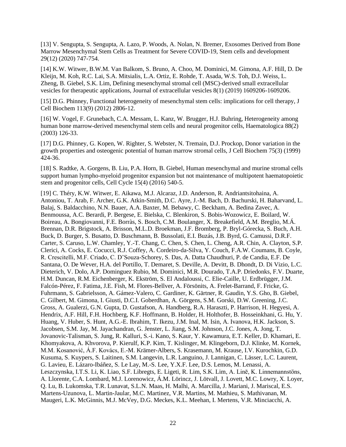<span id="page-21-0"></span>[13] V. Sengupta, S. Sengupta, A. Lazo, P. Woods, A. Nolan, N. Bremer, Exosomes Derived from Bone Marrow Mesenchymal Stem Cells as Treatment for Severe COVID-19, Stem cells and development 29(12) (2020) 747-754.

<span id="page-21-1"></span>[14] K.W. Witwer, B.W.M. Van Balkom, S. Bruno, A. Choo, M. Dominici, M. Gimona, A.F. Hill, D. De Kleijn, M. Koh, R.C. Lai, S.A. Mitsialis, L.A. Ortiz, E. Rohde, T. Asada, W.S. Toh, D.J. Weiss, L. Zheng, B. Giebel, S.K. Lim, Defining mesenchymal stromal cell (MSC)-derived small extracellular vesicles for therapeutic applications, Journal of extracellular vesicles 8(1) (2019) 1609206-1609206.

<span id="page-21-2"></span>[15] D.G. Phinney, Functional heterogeneity of mesenchymal stem cells: implications for cell therapy, J Cell Biochem 113(9) (2012) 2806-12.

[16] W. Vogel, F. Grunebach, C.A. Messam, L. Kanz, W. Brugger, H.J. Buhring, Heterogeneity among human bone marrow-derived mesenchymal stem cells and neural progenitor cells, Haematologica 88(2) (2003) 126-33.

[17] D.G. Phinney, G. Kopen, W. Righter, S. Webster, N. Tremain, D.J. Prockop, Donor variation in the growth properties and osteogenic potential of human marrow stromal cells, J Cell Biochem 75(3) (1999) 424-36.

<span id="page-21-3"></span>[18] S. Radtke, A. Gorgens, B. Liu, P.A. Horn, B. Giebel, Human mesenchymal and murine stromal cells support human lympho-myeloid progenitor expansion but not maintenance of multipotent haematopoietic stem and progenitor cells, Cell Cycle 15(4) (2016) 540-5.

<span id="page-21-4"></span>[19] C. Théry, K.W. Witwer, E. Aikawa, M.J. Alcaraz, J.D. Anderson, R. Andriantsitohaina, A. Antoniou, T. Arab, F. Archer, G.K. Atkin-Smith, D.C. Ayre, J.-M. Bach, D. Bachurski, H. Baharvand, L. Balaj, S. Baldacchino, N.N. Bauer, A.A. Baxter, M. Bebawy, C. Beckham, A. Bedina Zavec, A. Benmoussa, A.C. Berardi, P. Bergese, E. Bielska, C. Blenkiron, S. Bobis-Wozowicz, E. Boilard, W. Boireau, A. Bongiovanni, F.E. Borràs, S. Bosch, C.M. Boulanger, X. Breakefield, A.M. Breglio, M.Á. Brennan, D.R. Brigstock, A. Brisson, M.L.D. Broekman, J.F. Bromberg, P. Bryl-Górecka, S. Buch, A.H. Buck, D. Burger, S. Busatto, D. Buschmann, B. Bussolati, E.I. Buzás, J.B. Byrd, G. Camussi, D.R.F. Carter, S. Caruso, L.W. Chamley, Y.-T. Chang, C. Chen, S. Chen, L. Cheng, A.R. Chin, A. Clayton, S.P. Clerici, A. Cocks, E. Cocucci, R.J. Coffey, A. Cordeiro-da-Silva, Y. Couch, F.A.W. Coumans, B. Coyle, R. Crescitelli, M.F. Criado, C. D'Souza-Schorey, S. Das, A. Datta Chaudhuri, P. de Candia, E.F. De Santana, O. De Wever, H.A. del Portillo, T. Demaret, S. Deville, A. Devitt, B. Dhondt, D. Di Vizio, L.C. Dieterich, V. Dolo, A.P. Dominguez Rubio, M. Dominici, M.R. Dourado, T.A.P. Driedonks, F.V. Duarte, H.M. Duncan, R.M. Eichenberger, K. Ekström, S. El Andaloussi, C. Elie-Caille, U. Erdbrügger, J.M. Falcón-Pérez, F. Fatima, J.E. Fish, M. Flores-Bellver, A. Försönits, A. Frelet-Barrand, F. Fricke, G. Fuhrmann, S. Gabrielsson, A. Gámez-Valero, C. Gardiner, K. Gärtner, R. Gaudin, Y.S. Gho, B. Giebel, C. Gilbert, M. Gimona, I. Giusti, D.C.I. Goberdhan, A. Görgens, S.M. Gorski, D.W. Greening, J.C. Gross, A. Gualerzi, G.N. Gupta, D. Gustafson, A. Handberg, R.A. Haraszti, P. Harrison, H. Hegyesi, A. Hendrix, A.F. Hill, F.H. Hochberg, K.F. Hoffmann, B. Holder, H. Holthofer, B. Hosseinkhani, G. Hu, Y. Huang, V. Huber, S. Hunt, A.G.-E. Ibrahim, T. Ikezu, J.M. Inal, M. Isin, A. Ivanova, H.K. Jackson, S. Jacobsen, S.M. Jay, M. Jayachandran, G. Jenster, L. Jiang, S.M. Johnson, J.C. Jones, A. Jong, T. Jovanovic-Talisman, S. Jung, R. Kalluri, S.-i. Kano, S. Kaur, Y. Kawamura, E.T. Keller, D. Khamari, E. Khomyakova, A. Khvorova, P. Kierulf, K.P. Kim, T. Kislinger, M. Klingeborn, D.J. Klinke, M. Kornek, M.M. Kosanović, Á.F. Kovács, E.-M. Krämer-Albers, S. Krasemann, M. Krause, I.V. Kurochkin, G.D. Kusuma, S. Kuypers, S. Laitinen, S.M. Langevin, L.R. Languino, J. Lannigan, C. Lässer, L.C. Laurent, G. Lavieu, E. Lázaro-Ibáñez, S. Le Lay, M.-S. Lee, Y.X.F. Lee, D.S. Lemos, M. Lenassi, A. Leszczynska, I.T.S. Li, K. Liao, S.F. Libregts, E. Ligeti, R. Lim, S.K. Lim, A. Linē, K. Linnemannstöns, A. Llorente, C.A. Lombard, M.J. Lorenowicz, Á.M. Lörincz, J. Lötvall, J. Lovett, M.C. Lowry, X. Loyer, Q. Lu, B. Lukomska, T.R. Lunavat, S.L.N. Maas, H. Malhi, A. Marcilla, J. Mariani, J. Mariscal, E.S. Martens-Uzunova, L. Martin-Jaular, M.C. Martinez, V.R. Martins, M. Mathieu, S. Mathivanan, M. Maugeri, L.K. McGinnis, M.J. McVey, D.G. Meckes, K.L. Meehan, I. Mertens, V.R. Minciacchi, A.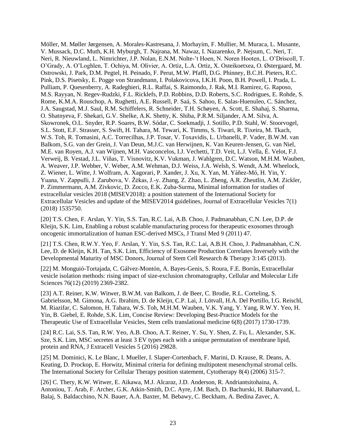Möller, M. Møller Jørgensen, A. Morales-Kastresana, J. Morhayim, F. Mullier, M. Muraca, L. Musante, V. Mussack, D.C. Muth, K.H. Myburgh, T. Najrana, M. Nawaz, I. Nazarenko, P. Nejsum, C. Neri, T. Neri, R. Nieuwland, L. Nimrichter, J.P. Nolan, E.N.M. Nolte-'t Hoen, N. Noren Hooten, L. O'Driscoll, T. O'Grady, A. O'Loghlen, T. Ochiya, M. Olivier, A. Ortiz, L.A. Ortiz, X. Osteikoetxea, O. Østergaard, M. Ostrowski, J. Park, D.M. Pegtel, H. Peinado, F. Perut, M.W. Pfaffl, D.G. Phinney, B.C.H. Pieters, R.C. Pink, D.S. Pisetsky, E. Pogge von Strandmann, I. Polakovicova, I.K.H. Poon, B.H. Powell, I. Prada, L. Pulliam, P. Quesenberry, A. Radeghieri, R.L. Raffai, S. Raimondo, J. Rak, M.I. Ramirez, G. Raposo, M.S. Rayyan, N. Regev-Rudzki, F.L. Ricklefs, P.D. Robbins, D.D. Roberts, S.C. Rodrigues, E. Rohde, S. Rome, K.M.A. Rouschop, A. Rughetti, A.E. Russell, P. Saá, S. Sahoo, E. Salas-Huenuleo, C. Sánchez, J.A. Saugstad, M.J. Saul, R.M. Schiffelers, R. Schneider, T.H. Schøyen, A. Scott, E. Shahaj, S. Sharma, O. Shatnyeva, F. Shekari, G.V. Shelke, A.K. Shetty, K. Shiba, P.R.M. Siljander, A.M. Silva, A. Skowronek, O.L. Snyder, R.P. Soares, B.W. Sódar, C. Soekmadji, J. Sotillo, P.D. Stahl, W. Stoorvogel, S.L. Stott, E.F. Strasser, S. Swift, H. Tahara, M. Tewari, K. Timms, S. Tiwari, R. Tixeira, M. Tkach, W.S. Toh, R. Tomasini, A.C. Torrecilhas, J.P. Tosar, V. Toxavidis, L. Urbanelli, P. Vader, B.W.M. van Balkom, S.G. van der Grein, J. Van Deun, M.J.C. van Herwijnen, K. Van Keuren-Jensen, G. van Niel, M.E. van Royen, A.J. van Wijnen, M.H. Vasconcelos, I.J. Vechetti, T.D. Veit, L.J. Vella, É. Velot, F.J. Verweij, B. Vestad, J.L. Viñas, T. Visnovitz, K.V. Vukman, J. Wahlgren, D.C. Watson, M.H.M. Wauben, A. Weaver, J.P. Webber, V. Weber, A.M. Wehman, D.J. Weiss, J.A. Welsh, S. Wendt, A.M. Wheelock, Z. Wiener, L. Witte, J. Wolfram, A. Xagorari, P. Xander, J. Xu, X. Yan, M. Yáñez-Mó, H. Yin, Y. Yuana, V. Zappulli, J. Zarubova, V. Žėkas, J.-y. Zhang, Z. Zhao, L. Zheng, A.R. Zheutlin, A.M. Zickler, P. Zimmermann, A.M. Zivkovic, D. Zocco, E.K. Zuba-Surma, Minimal information for studies of extracellular vesicles 2018 (MISEV2018): a position statement of the International Society for Extracellular Vesicles and update of the MISEV2014 guidelines, Journal of Extracellular Vesicles 7(1) (2018) 1535750.

<span id="page-22-0"></span>[20] T.S. Chen, F. Arslan, Y. Yin, S.S. Tan, R.C. Lai, A.B. Choo, J. Padmanabhan, C.N. Lee, D.P. de Kleijn, S.K. Lim, Enabling a robust scalable manufacturing process for therapeutic exosomes through oncogenic immortalization of human ESC-derived MSCs, J Transl Med 9 (2011) 47.

<span id="page-22-1"></span>[21] T.S. Chen, R.W.Y. Yeo, F. Arslan, Y. Yin, S.S. Tan, R.C. Lai, A.B.H. Choo, J. Padmanabhan, C.N. Lee, D. de Kleijn, K.H. Tan, S.K. Lim, Efficiency of Exosome Production Correlates Inversely with the Developmental Maturity of MSC Donors, Journal of Stem Cell Research & Therapy 3:145 (2013).

<span id="page-22-2"></span>[22] M. Monguió-Tortajada, C. Gálvez-Montón, A. Bayes-Genis, S. Roura, F.E. Borràs, Extracellular vesicle isolation methods: rising impact of size-exclusion chromatography, Cellular and Molecular Life Sciences 76(12) (2019) 2369-2382.

<span id="page-22-3"></span>[23] A.T. Reiner, K.W. Witwer, B.W.M. van Balkom, J. de Beer, C. Brodie, R.L. Corteling, S. Gabrielsson, M. Gimona, A.G. Ibrahim, D. de Kleijn, C.P. Lai, J. Lötvall, H.A. Del Portillo, I.G. Reischl, M. Riazifar, C. Salomon, H. Tahara, W.S. Toh, M.H.M. Wauben, V.K. Yang, Y. Yang, R.W.Y. Yeo, H. Yin, B. Giebel, E. Rohde, S.K. Lim, Concise Review: Developing Best-Practice Models for the Therapeutic Use of Extracellular Vesicles, Stem cells translational medicine 6(8) (2017) 1730-1739.

<span id="page-22-4"></span>[24] R.C. Lai, S.S. Tan, R.W. Yeo, A.B. Choo, A.T. Reiner, Y. Su, Y. Shen, Z. Fu, L. Alexander, S.K. Sze, S.K. Lim, MSC secretes at least 3 EV types each with a unique permutation of membrane lipid, protein and RNA, J Extracell Vesicles 5 (2016) 29828.

<span id="page-22-5"></span>[25] M. Dominici, K. Le Blanc, I. Mueller, I. Slaper-Cortenbach, F. Marini, D. Krause, R. Deans, A. Keating, D. Prockop, E. Horwitz, Minimal criteria for defining multipotent mesenchymal stromal cells. The International Society for Cellular Therapy position statement, Cytotherapy 8(4) (2006) 315-7.

<span id="page-22-6"></span>[26] C. Thery, K.W. Witwer, E. Aikawa, M.J. Alcaraz, J.D. Anderson, R. Andriantsitohaina, A. Antoniou, T. Arab, F. Archer, G.K. Atkin-Smith, D.C. Ayre, J.M. Bach, D. Bachurski, H. Baharvand, L. Balaj, S. Baldacchino, N.N. Bauer, A.A. Baxter, M. Bebawy, C. Beckham, A. Bedina Zavec, A.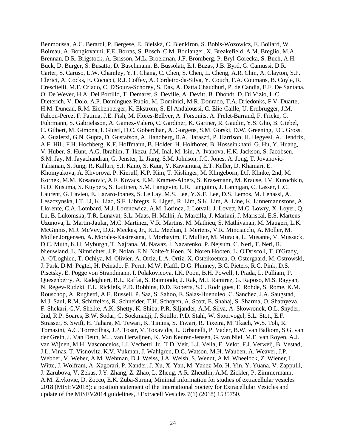Benmoussa, A.C. Berardi, P. Bergese, E. Bielska, C. Blenkiron, S. Bobis-Wozowicz, E. Boilard, W. Boireau, A. Bongiovanni, F.E. Borras, S. Bosch, C.M. Boulanger, X. Breakefield, A.M. Breglio, M.A. Brennan, D.R. Brigstock, A. Brisson, M.L. Broekman, J.F. Bromberg, P. Bryl-Gorecka, S. Buch, A.H. Buck, D. Burger, S. Busatto, D. Buschmann, B. Bussolati, E.I. Buzas, J.B. Byrd, G. Camussi, D.R. Carter, S. Caruso, L.W. Chamley, Y.T. Chang, C. Chen, S. Chen, L. Cheng, A.R. Chin, A. Clayton, S.P. Clerici, A. Cocks, E. Cocucci, R.J. Coffey, A. Cordeiro-da-Silva, Y. Couch, F.A. Coumans, B. Coyle, R. Crescitelli, M.F. Criado, C. D'Souza-Schorey, S. Das, A. Datta Chaudhuri, P. de Candia, E.F. De Santana, O. De Wever, H.A. Del Portillo, T. Demaret, S. Deville, A. Devitt, B. Dhondt, D. Di Vizio, L.C. Dieterich, V. Dolo, A.P. Dominguez Rubio, M. Dominici, M.R. Dourado, T.A. Driedonks, F.V. Duarte, H.M. Duncan, R.M. Eichenberger, K. Ekstrom, S. El Andaloussi, C. Elie-Caille, U. Erdbrugger, J.M. Falcon-Perez, F. Fatima, J.E. Fish, M. Flores-Bellver, A. Forsonits, A. Frelet-Barrand, F. Fricke, G. Fuhrmann, S. Gabrielsson, A. Gamez-Valero, C. Gardiner, K. Gartner, R. Gaudin, Y.S. Gho, B. Giebel, C. Gilbert, M. Gimona, I. Giusti, D.C. Goberdhan, A. Gorgens, S.M. Gorski, D.W. Greening, J.C. Gross, A. Gualerzi, G.N. Gupta, D. Gustafson, A. Handberg, R.A. Haraszti, P. Harrison, H. Hegyesi, A. Hendrix, A.F. Hill, F.H. Hochberg, K.F. Hoffmann, B. Holder, H. Holthofer, B. Hosseinkhani, G. Hu, Y. Huang, V. Huber, S. Hunt, A.G. Ibrahim, T. Ikezu, J.M. Inal, M. Isin, A. Ivanova, H.K. Jackson, S. Jacobsen, S.M. Jay, M. Jayachandran, G. Jenster, L. Jiang, S.M. Johnson, J.C. Jones, A. Jong, T. Jovanovic-Talisman, S. Jung, R. Kalluri, S.I. Kano, S. Kaur, Y. Kawamura, E.T. Keller, D. Khamari, E. Khomyakova, A. Khvorova, P. Kierulf, K.P. Kim, T. Kislinger, M. Klingeborn, D.J. Klinke, 2nd, M. Kornek, M.M. Kosanovic, A.F. Kovacs, E.M. Kramer-Albers, S. Krasemann, M. Krause, I.V. Kurochkin, G.D. Kusuma, S. Kuypers, S. Laitinen, S.M. Langevin, L.R. Languino, J. Lannigan, C. Lasser, L.C. Laurent, G. Lavieu, E. Lazaro-Ibanez, S. Le Lay, M.S. Lee, Y.X.F. Lee, D.S. Lemos, M. Lenassi, A. Leszczynska, I.T. Li, K. Liao, S.F. Libregts, E. Ligeti, R. Lim, S.K. Lim, A. Line, K. Linnemannstons, A. Llorente, C.A. Lombard, M.J. Lorenowicz, A.M. Lorincz, J. Lotvall, J. Lovett, M.C. Lowry, X. Loyer, Q. Lu, B. Lukomska, T.R. Lunavat, S.L. Maas, H. Malhi, A. Marcilla, J. Mariani, J. Mariscal, E.S. Martens-Uzunova, L. Martin-Jaular, M.C. Martinez, V.R. Martins, M. Mathieu, S. Mathivanan, M. Maugeri, L.K. McGinnis, M.J. McVey, D.G. Meckes, Jr., K.L. Meehan, I. Mertens, V.R. Minciacchi, A. Moller, M. Moller Jorgensen, A. Morales-Kastresana, J. Morhayim, F. Mullier, M. Muraca, L. Musante, V. Mussack, D.C. Muth, K.H. Myburgh, T. Najrana, M. Nawaz, I. Nazarenko, P. Nejsum, C. Neri, T. Neri, R. Nieuwland, L. Nimrichter, J.P. Nolan, E.N. Nolte-'t Hoen, N. Noren Hooten, L. O'Driscoll, T. O'Grady, A. O'Loghlen, T. Ochiya, M. Olivier, A. Ortiz, L.A. Ortiz, X. Osteikoetxea, O. Ostergaard, M. Ostrowski, J. Park, D.M. Pegtel, H. Peinado, F. Perut, M.W. Pfaffl, D.G. Phinney, B.C. Pieters, R.C. Pink, D.S. Pisetsky, E. Pogge von Strandmann, I. Polakovicova, I.K. Poon, B.H. Powell, I. Prada, L. Pulliam, P. Quesenberry, A. Radeghieri, R.L. Raffai, S. Raimondo, J. Rak, M.I. Ramirez, G. Raposo, M.S. Rayyan, N. Regev-Rudzki, F.L. Ricklefs, P.D. Robbins, D.D. Roberts, S.C. Rodrigues, E. Rohde, S. Rome, K.M. Rouschop, A. Rughetti, A.E. Russell, P. Saa, S. Sahoo, E. Salas-Huenuleo, C. Sanchez, J.A. Saugstad, M.J. Saul, R.M. Schiffelers, R. Schneider, T.H. Schoyen, A. Scott, E. Shahaj, S. Sharma, O. Shatnyeva, F. Shekari, G.V. Shelke, A.K. Shetty, K. Shiba, P.R. Siljander, A.M. Silva, A. Skowronek, O.L. Snyder, 2nd, R.P. Soares, B.W. Sodar, C. Soekmadji, J. Sotillo, P.D. Stahl, W. Stoorvogel, S.L. Stott, E.F. Strasser, S. Swift, H. Tahara, M. Tewari, K. Timms, S. Tiwari, R. Tixeira, M. Tkach, W.S. Toh, R. Tomasini, A.C. Torrecilhas, J.P. Tosar, V. Toxavidis, L. Urbanelli, P. Vader, B.W. van Balkom, S.G. van der Grein, J. Van Deun, M.J. van Herwijnen, K. Van Keuren-Jensen, G. van Niel, M.E. van Royen, A.J. van Wijnen, M.H. Vasconcelos, I.J. Vechetti, Jr., T.D. Veit, L.J. Vella, E. Velot, F.J. Verweij, B. Vestad, J.L. Vinas, T. Visnovitz, K.V. Vukman, J. Wahlgren, D.C. Watson, M.H. Wauben, A. Weaver, J.P. Webber, V. Weber, A.M. Wehman, D.J. Weiss, J.A. Welsh, S. Wendt, A.M. Wheelock, Z. Wiener, L. Witte, J. Wolfram, A. Xagorari, P. Xander, J. Xu, X. Yan, M. Yanez-Mo, H. Yin, Y. Yuana, V. Zappulli, J. Zarubova, V. Zekas, J.Y. Zhang, Z. Zhao, L. Zheng, A.R. Zheutlin, A.M. Zickler, P. Zimmermann, A.M. Zivkovic, D. Zocco, E.K. Zuba-Surma, Minimal information for studies of extracellular vesicles 2018 (MISEV2018): a position statement of the International Society for Extracellular Vesicles and update of the MISEV2014 guidelines, J Extracell Vesicles 7(1) (2018) 1535750.